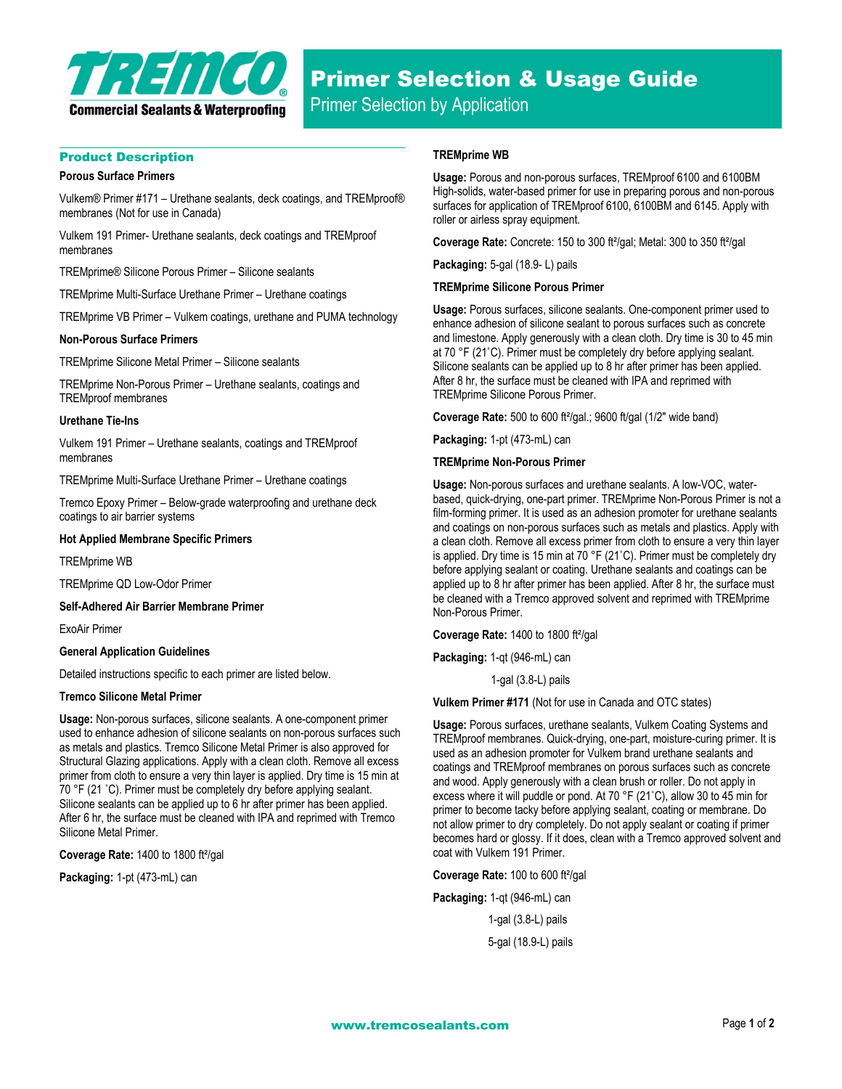

# Product Description

### **Porous Surface Primers**

Vulkem® Primer #171 – Urethane sealants, deck coatings, and TREMproof® membranes (Not for use in Canada)

Vulkem 191 Primer- Urethane sealants, deck coatings and TREMproof membranes

TREMprime® Silicone Porous Primer – Silicone sealants

TREMprime Multi-Surface Urethane Primer – Urethane coatings

TREMprime VB Primer – Vulkem coatings, urethane and PUMA technology

## **Non-Porous Surface Primers**

TREMprime Silicone Metal Primer – Silicone sealants

TREMprime Non-Porous Primer – Urethane sealants, coatings and TREMproof membranes

# **Urethane Tie-Ins**

Vulkem 191 Primer – Urethane sealants, coatings and TREMproof membranes

TREMprime Multi-Surface Urethane Primer – Urethane coatings

Tremco Epoxy Primer – Below-grade waterproofing and urethane deck coatings to air barrier systems

## **Hot Applied Membrane Specific Primers**

TREMprime WB

TREMprime QD Low-Odor Primer

**Self-Adhered Air Barrier Membrane Primer**

ExoAir Primer

# **General Application Guidelines**

Detailed instructions specific to each primer are listed below.

# **Tremco Silicone Metal Primer**

**Usage:** Non-porous surfaces, silicone sealants. A one-component primer used to enhance adhesion of silicone sealants on non-porous surfaces such as metals and plastics. Tremco Silicone Metal Primer is also approved for Structural Glazing applications. Apply with a clean cloth. Remove all excess primer from cloth to ensure a very thin layer is applied. Dry time is 15 min at 70 °F (21 ˚C). Primer must be completely dry before applying sealant. Silicone sealants can be applied up to 6 hr after primer has been applied. After 6 hr, the surface must be cleaned with IPA and reprimed with Tremco Silicone Metal Primer.

**Coverage Rate:** 1400 to 1800 ft²/gal

**Packaging:** 1-pt (473-mL) can

# **TREMprime WB**

**Usage:** Porous and non-porous surfaces, TREMproof 6100 and 6100BM High-solids, water-based primer for use in preparing porous and non-porous surfaces for application of TREMproof 6100, 6100BM and 6145. Apply with roller or airless spray equipment.

**Coverage Rate:** Concrete: 150 to 300 ft²/gal; Metal: 300 to 350 ft²/gal

**Packaging:** 5-gal (18.9- L) pails

# **TREMprime Silicone Porous Primer**

**Usage:** Porous surfaces, silicone sealants. One-component primer used to enhance adhesion of silicone sealant to porous surfaces such as concrete and limestone. Apply generously with a clean cloth. Dry time is 30 to 45 min at 70 °F (21˚C). Primer must be completely dry before applying sealant. Silicone sealants can be applied up to 8 hr after primer has been applied. After 8 hr, the surface must be cleaned with IPA and reprimed with TREMprime Silicone Porous Primer.

**Coverage Rate:** 500 to 600 ft²/gal.; 9600 ft/gal (1/2" wide band)

**Packaging:** 1-pt (473-mL) can

## **TREMprime Non-Porous Primer**

**Usage:** Non-porous surfaces and urethane sealants. A low-VOC, waterbased, quick-drying, one-part primer. TREMprime Non-Porous Primer is not a film-forming primer. It is used as an adhesion promoter for urethane sealants and coatings on non-porous surfaces such as metals and plastics. Apply with a clean cloth. Remove all excess primer from cloth to ensure a very thin layer is applied. Dry time is 15 min at 70 °F (21˚C). Primer must be completely dry before applying sealant or coating. Urethane sealants and coatings can be applied up to 8 hr after primer has been applied. After 8 hr, the surface must be cleaned with a Tremco approved solvent and reprimed with TREMprime Non-Porous Primer.

**Coverage Rate:** 1400 to 1800 ft²/gal

**Packaging:** 1-qt (946-mL) can

1-gal (3.8-L) pails

**Vulkem Primer #171** (Not for use in Canada and OTC states)

**Usage:** Porous surfaces, urethane sealants, Vulkem Coating Systems and TREMproof membranes. Quick-drying, one-part, moisture-curing primer. It is used as an adhesion promoter for Vulkem brand urethane sealants and coatings and TREMproof membranes on porous surfaces such as concrete and wood. Apply generously with a clean brush or roller. Do not apply in excess where it will puddle or pond. At 70 °F (21˚C), allow 30 to 45 min for primer to become tacky before applying sealant, coating or membrane. Do not allow primer to dry completely. Do not apply sealant or coating if primer becomes hard or glossy. If it does, clean with a Tremco approved solvent and coat with Vulkem 191 Primer.

**Coverage Rate:** 100 to 600 ft²/gal

**Packaging:** 1-qt (946-mL) can

1-gal (3.8-L) pails 5-gal (18.9-L) pails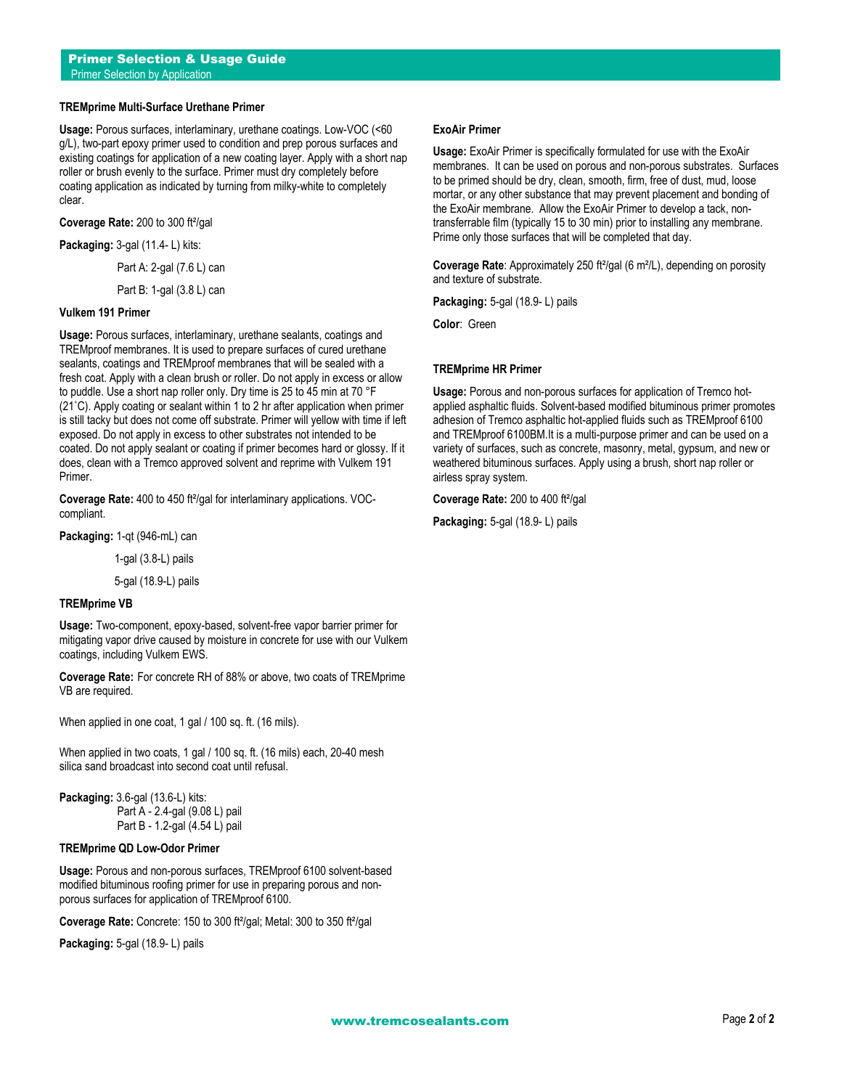# **TREMprime Multi-Surface Urethane Primer**

**Usage:** Porous surfaces, interlaminary, urethane coatings. Low-VOC (<60 g/L), two-part epoxy primer used to condition and prep porous surfaces and existing coatings for application of a new coating layer. Apply with a short nap roller or brush evenly to the surface. Primer must dry completely before coating application as indicated by turning from milky-white to completely clear.

**Coverage Rate:** 200 to 300 ft²/gal

**Packaging:** 3-gal (11.4- L) kits:

Part A: 2-gal (7.6 L) can

Part B: 1-gal (3.8 L) can

### **Vulkem 191 Primer**

**Usage:** Porous surfaces, interlaminary, urethane sealants, coatings and TREMproof membranes. It is used to prepare surfaces of cured urethane sealants, coatings and TREMproof membranes that will be sealed with a fresh coat. Apply with a clean brush or roller. Do not apply in excess or allow to puddle. Use a short nap roller only. Dry time is 25 to 45 min at 70 °F (21˚C). Apply coating or sealant within 1 to 2 hr after application when primer is still tacky but does not come off substrate. Primer will yellow with time if left exposed. Do not apply in excess to other substrates not intended to be coated. Do not apply sealant or coating if primer becomes hard or glossy. If it does, clean with a Tremco approved solvent and reprime with Vulkem 191 Primer.

**Coverage Rate:** 400 to 450 ft²/gal for interlaminary applications. VOCcompliant.

**Packaging:** 1-qt (946-mL) can

1-gal (3.8-L) pails

5-gal (18.9-L) pails

### **TREMprime VB**

**Usage:** Two-component, epoxy-based, solvent-free vapor barrier primer for mitigating vapor drive caused by moisture in concrete for use with our Vulkem coatings, including Vulkem EWS.

**Coverage Rate:** For concrete RH of 88% or above, two coats of TREMprime VB are required.

When applied in one coat, 1 gal / 100 sq. ft. (16 mils).

When applied in two coats, 1 gal / 100 sq. ft. (16 mils) each, 20-40 mesh silica sand broadcast into second coat until refusal.

**Packaging:** 3.6-gal (13.6-L) kits: Part A - 2.4-gal (9.08 L) pail Part B - 1.2-gal (4.54 L) pail

# **TREMprime QD Low-Odor Primer**

**Usage:** Porous and non-porous surfaces, TREMproof 6100 solvent-based modified bituminous roofing primer for use in preparing porous and nonporous surfaces for application of TREMproof 6100.

**Coverage Rate:** Concrete: 150 to 300 ft²/gal; Metal: 300 to 350 ft²/gal

**Packaging:** 5-gal (18.9- L) pails

### **ExoAir Primer**

**Usage:** ExoAir Primer is specifically formulated for use with the ExoAir membranes. It can be used on porous and non-porous substrates. Surfaces to be primed should be dry, clean, smooth, firm, free of dust, mud, loose mortar, or any other substance that may prevent placement and bonding of the ExoAir membrane. Allow the ExoAir Primer to develop a tack, nontransferrable film (typically 15 to 30 min) prior to installing any membrane. Prime only those surfaces that will be completed that day.

**Coverage Rate:** Approximately 250 ft<sup>2</sup>/gal (6 m<sup>2</sup>/L), depending on porosity and texture of substrate.

**Packaging:** 5-gal (18.9- L) pails

**Color**: Green

### **TREMprime HR Primer**

**Usage:** Porous and non-porous surfaces for application of Tremco hotapplied asphaltic fluids. Solvent-based modified bituminous primer promotes adhesion of Tremco asphaltic hot-applied fluids such as TREMproof 6100 and TREMproof 6100BM.It is a multi-purpose primer and can be used on a variety of surfaces, such as concrete, masonry, metal, gypsum, and new or weathered bituminous surfaces. Apply using a brush, short nap roller or airless spray system.

**Coverage Rate:** 200 to 400 ft²/gal

**Packaging:** 5-gal (18.9- L) pails